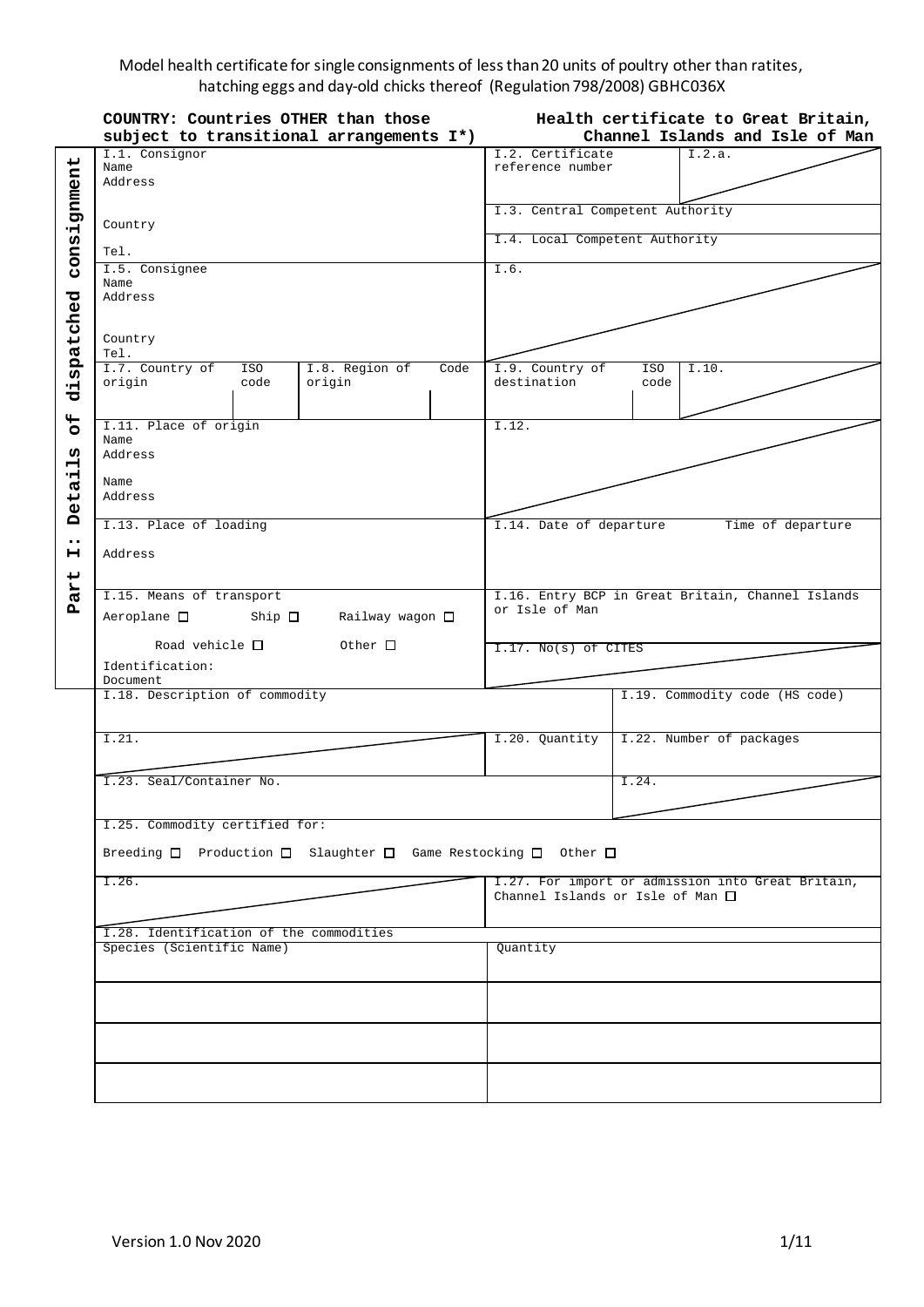## Model health certificate for single consignments of less than 20 units of poultry other than ratites, hatching eggs and day-old chicks thereof (Regulation 798/2008) GBHC036X

|                      | COUNTRY: Countries OTHER than those<br>subject to transitional arrangements I*)        | Health certificate to Great Britain,<br>Channel Islands and Isle of Man |                                                   |  |
|----------------------|----------------------------------------------------------------------------------------|-------------------------------------------------------------------------|---------------------------------------------------|--|
|                      | I.1. Consignor                                                                         | I.2. Certificate                                                        | I.2.a.                                            |  |
|                      | Name                                                                                   | reference number                                                        |                                                   |  |
|                      | Address                                                                                |                                                                         |                                                   |  |
|                      |                                                                                        |                                                                         |                                                   |  |
|                      |                                                                                        |                                                                         | I.3. Central Competent Authority                  |  |
| consignment          | Country                                                                                |                                                                         |                                                   |  |
|                      |                                                                                        |                                                                         | I.4. Local Competent Authority                    |  |
|                      | Tel.                                                                                   |                                                                         |                                                   |  |
|                      | I.5. Consignee                                                                         | I.6.                                                                    |                                                   |  |
|                      | Name<br>Address                                                                        |                                                                         |                                                   |  |
|                      |                                                                                        |                                                                         |                                                   |  |
|                      |                                                                                        |                                                                         |                                                   |  |
|                      | Country                                                                                |                                                                         |                                                   |  |
| dispatched           | Tel.                                                                                   |                                                                         |                                                   |  |
|                      | I.7. Country of<br>I.8. Region of<br>ISO<br>Code                                       | I.9. Country of                                                         | ISO<br>I.10.                                      |  |
|                      | origin<br>code<br>origin                                                               | destination                                                             | code                                              |  |
|                      |                                                                                        |                                                                         |                                                   |  |
| $\overline{5}$       | I.11. Place of origin                                                                  | I.12.                                                                   |                                                   |  |
|                      | Name                                                                                   |                                                                         |                                                   |  |
| ທ                    | Address                                                                                |                                                                         |                                                   |  |
| $\blacksquare$<br>нį |                                                                                        |                                                                         |                                                   |  |
|                      | Name                                                                                   |                                                                         |                                                   |  |
| eta                  | Address                                                                                |                                                                         |                                                   |  |
| Ă                    | I.13. Place of loading                                                                 | I.14. Date of departure<br>Time of departure                            |                                                   |  |
| $\bullet\bullet$     |                                                                                        |                                                                         |                                                   |  |
| н                    | Address                                                                                |                                                                         |                                                   |  |
|                      |                                                                                        |                                                                         |                                                   |  |
|                      |                                                                                        |                                                                         |                                                   |  |
| Part                 | I.15. Means of transport                                                               | I.16. Entry BCP in Great Britain, Channel Islands<br>or Isle of Man     |                                                   |  |
|                      | $Aeroplane$ $\Box$<br>Ship $\Box$<br>Railway wagon □                                   | I.17. No(s) of CITES                                                    |                                                   |  |
|                      | Road vehicle $\square$<br>$Other$ $\Box$                                               |                                                                         |                                                   |  |
|                      |                                                                                        |                                                                         |                                                   |  |
|                      | Identification:<br>Document                                                            |                                                                         |                                                   |  |
|                      | I.18. Description of commodity                                                         |                                                                         | I.19. Commodity code (HS code)                    |  |
|                      |                                                                                        |                                                                         |                                                   |  |
|                      |                                                                                        |                                                                         |                                                   |  |
|                      | I.21.                                                                                  |                                                                         | I.20. Quantity   I.22. Number of packages         |  |
|                      |                                                                                        |                                                                         |                                                   |  |
|                      | I.23. Seal/Container No.                                                               |                                                                         | I.24.                                             |  |
|                      |                                                                                        |                                                                         |                                                   |  |
|                      |                                                                                        |                                                                         |                                                   |  |
|                      | I.25. Commodity certified for:                                                         |                                                                         |                                                   |  |
|                      | Breeding $\Box$ Production $\Box$ Slaughter $\Box$ Game Restocking $\Box$ Other $\Box$ |                                                                         |                                                   |  |
|                      |                                                                                        |                                                                         |                                                   |  |
|                      | I.26.                                                                                  |                                                                         | I.27. For import or admission into Great Britain, |  |
|                      |                                                                                        |                                                                         | Channel Islands or Isle of Man $\square$          |  |
|                      |                                                                                        |                                                                         |                                                   |  |
|                      | I.28. Identification of the commodities                                                |                                                                         |                                                   |  |
|                      | Species (Scientific Name)                                                              | Quantity                                                                |                                                   |  |
|                      |                                                                                        |                                                                         |                                                   |  |
|                      |                                                                                        |                                                                         |                                                   |  |
|                      |                                                                                        |                                                                         |                                                   |  |
|                      |                                                                                        |                                                                         |                                                   |  |
|                      |                                                                                        |                                                                         |                                                   |  |
|                      |                                                                                        |                                                                         |                                                   |  |
|                      |                                                                                        |                                                                         |                                                   |  |
|                      |                                                                                        |                                                                         |                                                   |  |
|                      |                                                                                        |                                                                         |                                                   |  |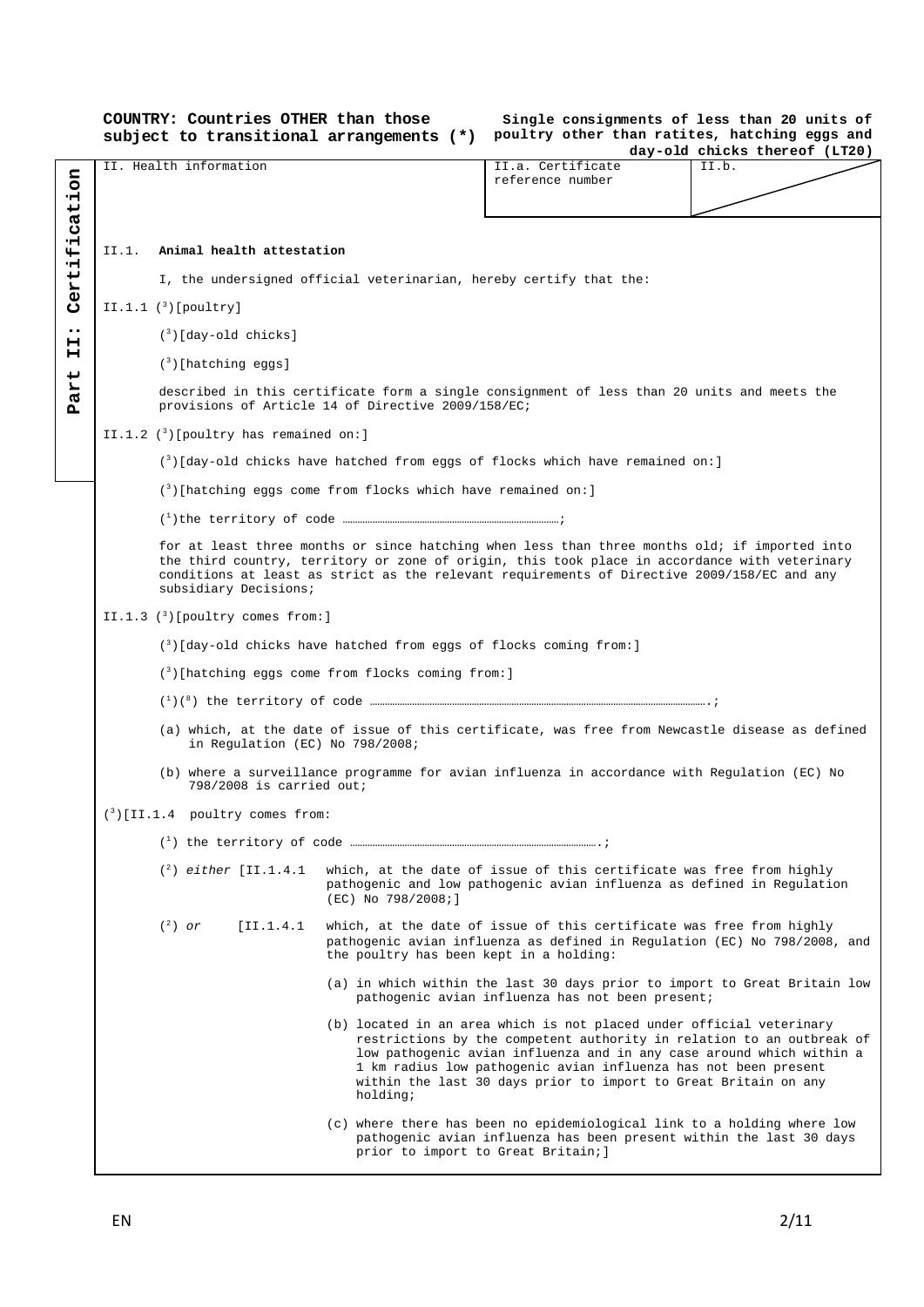**COUNTRY: Countries OTHER than those Single consignments of less than 20 units of subject to transitional arrangements (\*) poultry other than ratites, hatching eggs and day-old chicks thereof (LT20)** II. Health information **II.a.** Certificate II.b. **Part II: Certification** Certification reference number II.1. **Animal health attestation** I, the undersigned official veterinarian, hereby certify that the:  $II.I.1$   $(3)$  [poultry]  $\ddot{\phantom{0}}\phantom{0}\bullet$ (3 )[day-old chicks]  $\overline{H}$ (3 )[hatching eggs] art described in this certificate form a single consignment of less than 20 units and meets the provisions of Article 14 of Directive 2009/158/EC; Ä II.1.2 (3)[poultry has remained on:] (3 )[day-old chicks have hatched from eggs of flocks which have remained on:]  $(3)$ [hatching eggs come from flocks which have remained on:] (1 )the territory of code ……………………………………………………………………………; for at least three months or since hatching when less than three months old; if imported into the third country, territory or zone of origin, this took place in accordance with veterinary conditions at least as strict as the relevant requirements of Directive 2009/158/EC and any subsidiary Decisions; II.1.3  $(3)$ [poultry comes from:] (3 )[day-old chicks have hatched from eggs of flocks coming from:] (3)[hatching eggs come from flocks coming from:] (1)(8) the territory of code ……………………………………………………………………………………………………………………….; (a) which, at the date of issue of this certificate, was free from Newcastle disease as defined in Regulation (EC) No 798/2008; (b) where a surveillance programme for avian influenza in accordance with Regulation (EC) No 798/2008 is carried out; (3 )[II.1.4 poultry comes from: (1) the territory of code ……………………………………………………………………………………….;  $(2)$  either [II.1.4.1] which, at the date of issue of this certificate was free from highly pathogenic and low pathogenic avian influenza as defined in Regulation (EC) No 798/2008;]  $(^2)$  or [II.1.4.1 which, at the date of issue of this certificate was free from highly pathogenic avian influenza as defined in Regulation (EC) No 798/2008, and the poultry has been kept in a holding: (a) in which within the last 30 days prior to import to Great Britain low pathogenic avian influenza has not been present; (b) located in an area which is not placed under official veterinary restrictions by the competent authority in relation to an outbreak of low pathogenic avian influenza and in any case around which within a 1 km radius low pathogenic avian influenza has not been present within the last 30 days prior to import to Great Britain on any holding; (c) where there has been no epidemiological link to a holding where low pathogenic avian influenza has been present within the last 30 days prior to import to Great Britain;]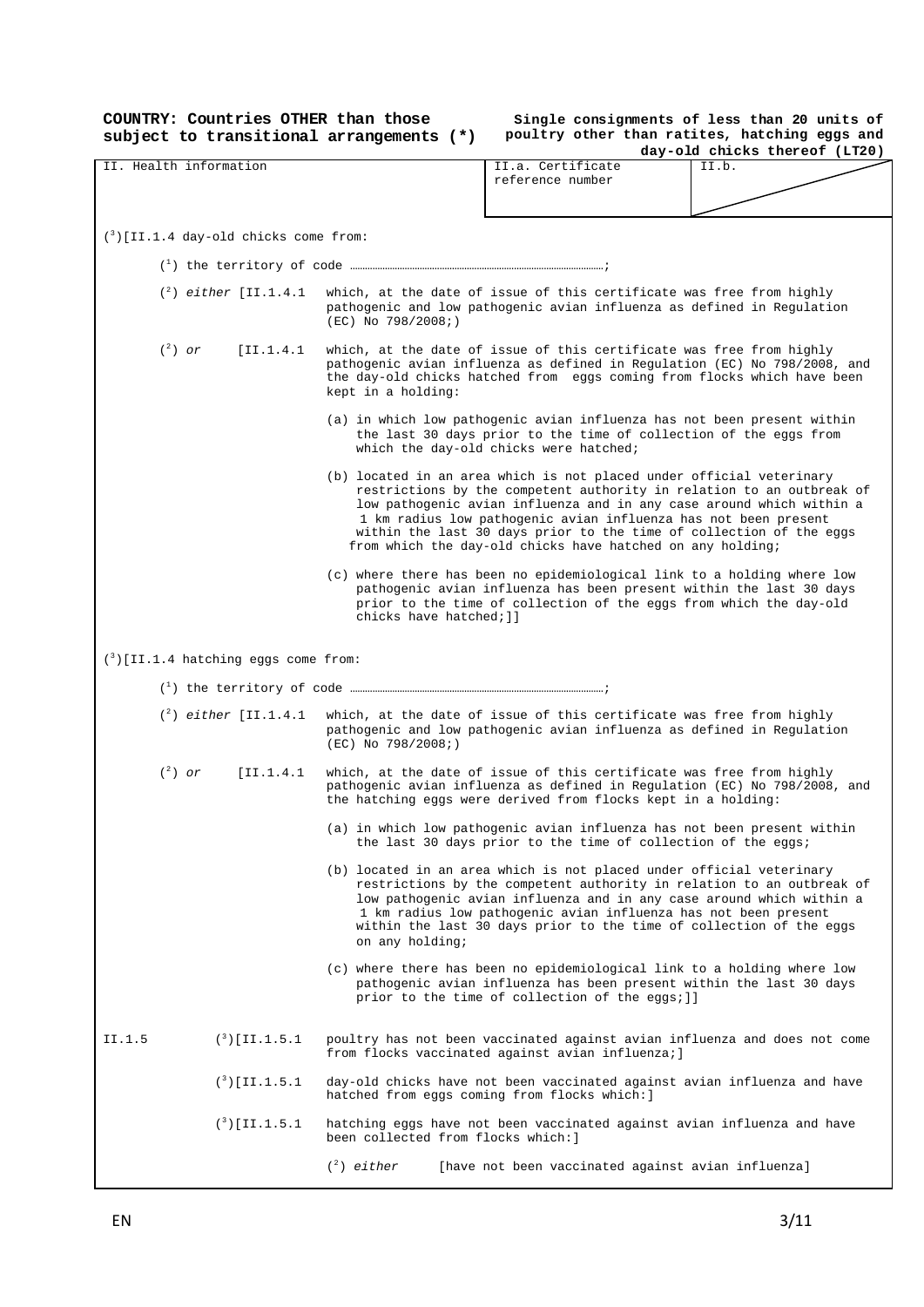**COUNTRY: Countries OTHER than those** 

**subject to transitional arrangements (\*) poultry other than ratites, hatching eggs and Single consignments of less than 20 units of** 

|                                                  | day-old chicks thereof (LT20)                                                                                                                                                                                                                                                                                                                                                                                                 |
|--------------------------------------------------|-------------------------------------------------------------------------------------------------------------------------------------------------------------------------------------------------------------------------------------------------------------------------------------------------------------------------------------------------------------------------------------------------------------------------------|
| II. Health information                           | II.a. Certificate<br>II.b.<br>reference number                                                                                                                                                                                                                                                                                                                                                                                |
| $\binom{3}{2}$ [II.1.4 day-old chicks come from: |                                                                                                                                                                                                                                                                                                                                                                                                                               |
|                                                  |                                                                                                                                                                                                                                                                                                                                                                                                                               |
| $({}^{2})$ either [II.1.4.1]                     | which, at the date of issue of this certificate was free from highly<br>pathogenic and low pathogenic avian influenza as defined in Regulation<br>$(EC)$ No 798/2008;)                                                                                                                                                                                                                                                        |
| $(^2)$ or<br>[II.1.4.1]                          | which, at the date of issue of this certificate was free from highly<br>pathogenic avian influenza as defined in Regulation (EC) No 798/2008, and<br>the day-old chicks hatched from eggs coming from flocks which have been<br>kept in a holding:                                                                                                                                                                            |
|                                                  | (a) in which low pathogenic avian influenza has not been present within<br>the last 30 days prior to the time of collection of the eggs from<br>which the day-old chicks were hatched;                                                                                                                                                                                                                                        |
|                                                  | (b) located in an area which is not placed under official veterinary<br>restrictions by the competent authority in relation to an outbreak of<br>low pathogenic avian influenza and in any case around which within a<br>1 km radius low pathogenic avian influenza has not been present<br>within the last 30 days prior to the time of collection of the eggs<br>from which the day-old chicks have hatched on any holding; |
|                                                  | (c) where there has been no epidemiological link to a holding where low<br>pathogenic avian influenza has been present within the last 30 days<br>prior to the time of collection of the eggs from which the day-old<br>chicks have hatched; 11                                                                                                                                                                               |
| $(3)$ [II.1.4 hatching eggs come from:           |                                                                                                                                                                                                                                                                                                                                                                                                                               |
|                                                  |                                                                                                                                                                                                                                                                                                                                                                                                                               |
| $({}^{2})$ either [II.1.4.1]                     | which, at the date of issue of this certificate was free from highly<br>pathogenic and low pathogenic avian influenza as defined in Regulation<br>$(EC)$ No 798/2008;)                                                                                                                                                                                                                                                        |
| $(^2)$ or<br>[II.1.4.1]                          | which, at the date of issue of this certificate was free from highly<br>pathogenic avian influenza as defined in Regulation (EC) No 798/2008, and<br>the hatching eggs were derived from flocks kept in a holding:                                                                                                                                                                                                            |
|                                                  | (a) in which low pathogenic avian influenza has not been present within<br>the last 30 days prior to the time of collection of the eggs;                                                                                                                                                                                                                                                                                      |
|                                                  | (b) located in an area which is not placed under official veterinary<br>restrictions by the competent authority in relation to an outbreak of<br>low pathogenic avian influenza and in any case around which within a<br>1 km radius low pathogenic avian influenza has not been present<br>within the last 30 days prior to the time of collection of the eggs<br>on any holding;                                            |
|                                                  | (c) where there has been no epidemiological link to a holding where low<br>pathogenic avian influenza has been present within the last 30 days<br>prior to the time of collection of the eggs; ]]                                                                                                                                                                                                                             |
| $({}^{3})$ [II.1.5.1<br>II.1.5                   | poultry has not been vaccinated against avian influenza and does not come<br>from flocks vaccinated against avian influenza; ]                                                                                                                                                                                                                                                                                                |
| $(3)$ [II.1.5.1]                                 | day-old chicks have not been vaccinated against avian influenza and have<br>hatched from eggs coming from flocks which: ]                                                                                                                                                                                                                                                                                                     |
| $(3)$ [II.1.5.1]                                 | hatching eggs have not been vaccinated against avian influenza and have<br>been collected from flocks which: ]                                                                                                                                                                                                                                                                                                                |
|                                                  | $(^2)$ either<br>[have not been vaccinated against avian influenza]                                                                                                                                                                                                                                                                                                                                                           |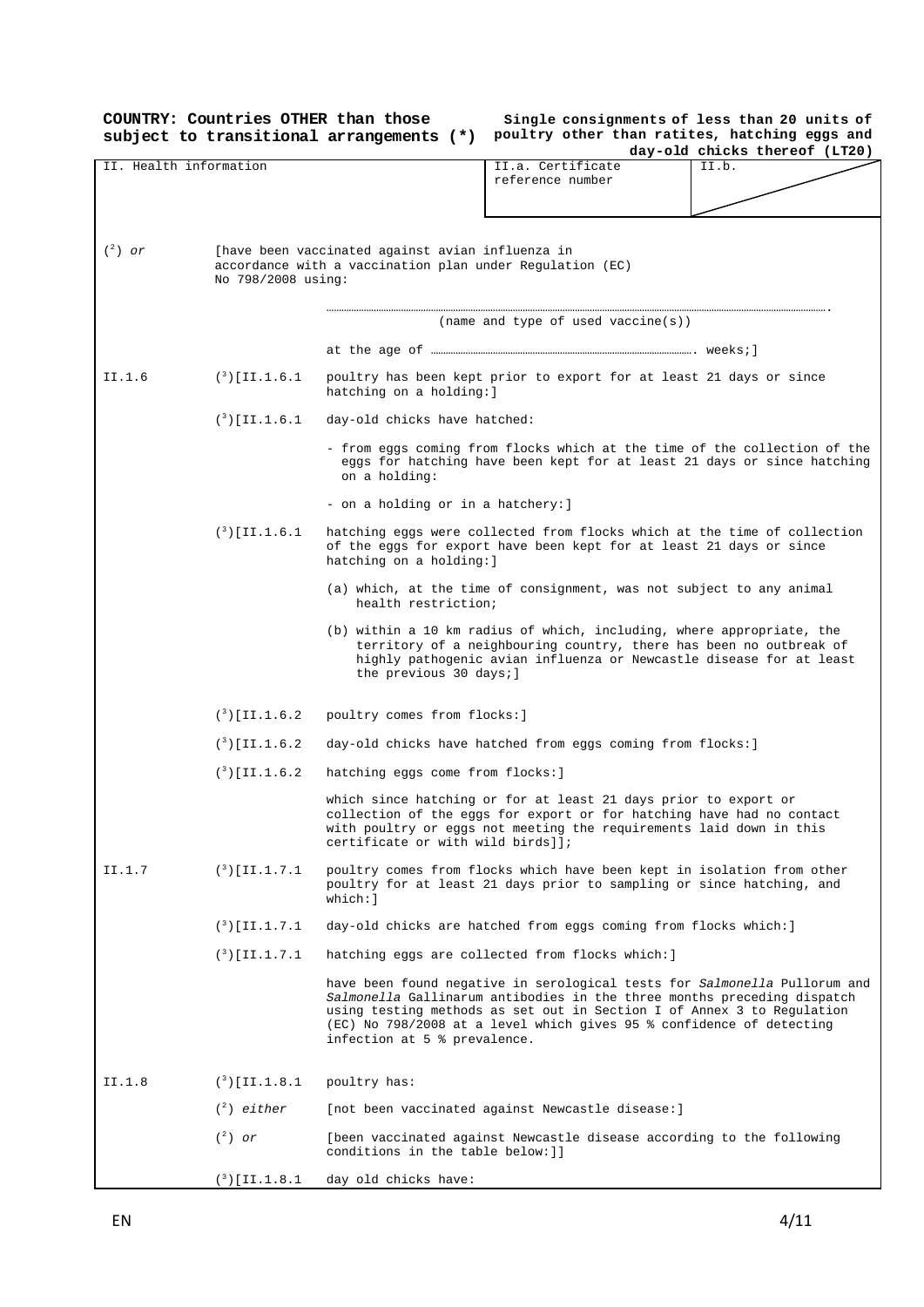|           | COUNTRY: Countries OTHER than those | subject to transitional arrangements (*)                                                                                                                              |                                                                                                                                                                                                                                                                                                        | Single consignments of less than 20 units of<br>poultry other than ratites, hatching eggs and |  |
|-----------|-------------------------------------|-----------------------------------------------------------------------------------------------------------------------------------------------------------------------|--------------------------------------------------------------------------------------------------------------------------------------------------------------------------------------------------------------------------------------------------------------------------------------------------------|-----------------------------------------------------------------------------------------------|--|
|           |                                     |                                                                                                                                                                       |                                                                                                                                                                                                                                                                                                        | day-old chicks thereof (LT20)                                                                 |  |
|           | II. Health information              |                                                                                                                                                                       | II.a. Certificate<br>reference number                                                                                                                                                                                                                                                                  | II.b.                                                                                         |  |
| $(^2)$ or | No 798/2008 using:                  | [have been vaccinated against avian influenza in<br>accordance with a vaccination plan under Regulation (EC)                                                          |                                                                                                                                                                                                                                                                                                        |                                                                                               |  |
|           |                                     |                                                                                                                                                                       | (name and type of used vaccine(s))                                                                                                                                                                                                                                                                     |                                                                                               |  |
|           |                                     |                                                                                                                                                                       |                                                                                                                                                                                                                                                                                                        |                                                                                               |  |
| II.1.6    | $(3)$ [II.1.6.1]                    | hatching on a holding: ]                                                                                                                                              | poultry has been kept prior to export for at least 21 days or since                                                                                                                                                                                                                                    |                                                                                               |  |
|           | $(3)$ [II.1.6.1]                    | day-old chicks have hatched:                                                                                                                                          |                                                                                                                                                                                                                                                                                                        |                                                                                               |  |
|           |                                     | - from eggs coming from flocks which at the time of the collection of the<br>eggs for hatching have been kept for at least 21 days or since hatching<br>on a holding: |                                                                                                                                                                                                                                                                                                        |                                                                                               |  |
|           |                                     | - on a holding or in a hatchery: ]                                                                                                                                    |                                                                                                                                                                                                                                                                                                        |                                                                                               |  |
|           | $(3)$ [II.1.6.1]                    | hatching on a holding: ]                                                                                                                                              | hatching eggs were collected from flocks which at the time of collection<br>of the eggs for export have been kept for at least 21 days or since                                                                                                                                                        |                                                                                               |  |
|           |                                     | health restriction;                                                                                                                                                   | (a) which, at the time of consignment, was not subject to any animal                                                                                                                                                                                                                                   |                                                                                               |  |
|           |                                     | the previous 30 days; ]                                                                                                                                               | (b) within a 10 km radius of which, including, where appropriate, the<br>territory of a neighbouring country, there has been no outbreak of<br>highly pathogenic avian influenza or Newcastle disease for at least                                                                                     |                                                                                               |  |
|           | $({}^{3})$ [II.1.6.2]               | poultry comes from flocks: ]                                                                                                                                          |                                                                                                                                                                                                                                                                                                        |                                                                                               |  |
|           | $({}^{3})$ [II.1.6.2                |                                                                                                                                                                       | day-old chicks have hatched from eggs coming from flocks: ]                                                                                                                                                                                                                                            |                                                                                               |  |
|           | $(^3)$ [II.1.6.2]                   | hatching eggs come from flocks: ]                                                                                                                                     |                                                                                                                                                                                                                                                                                                        |                                                                                               |  |
|           |                                     | certificate or with wild birds]];                                                                                                                                     | which since hatching or for at least 21 days prior to export or<br>collection of the eggs for export or for hatching have had no contact<br>with poultry or eggs not meeting the requirements laid down in this                                                                                        |                                                                                               |  |
| II.1.7    | $(3)$ [II.1.7.1]                    | $which:$ ]                                                                                                                                                            | poultry comes from flocks which have been kept in isolation from other<br>poultry for at least 21 days prior to sampling or since hatching, and                                                                                                                                                        |                                                                                               |  |
|           | $(3)$ [II.1.7.1]                    |                                                                                                                                                                       | day-old chicks are hatched from eggs coming from flocks which: ]                                                                                                                                                                                                                                       |                                                                                               |  |
|           | $(3)$ [II.1.7.1]                    |                                                                                                                                                                       | hatching eggs are collected from flocks which: ]                                                                                                                                                                                                                                                       |                                                                                               |  |
|           |                                     | infection at 5 % prevalence.                                                                                                                                          | have been found negative in serological tests for Salmonella Pullorum and<br>Salmonella Gallinarum antibodies in the three months preceding dispatch<br>using testing methods as set out in Section I of Annex 3 to Regulation<br>(EC) No 798/2008 at a level which gives 95 % confidence of detecting |                                                                                               |  |
| II.1.8    | $(3)$ [II.1.8.1]                    | poultry has:                                                                                                                                                          |                                                                                                                                                                                                                                                                                                        |                                                                                               |  |
|           | $(2)$ either                        |                                                                                                                                                                       | [not been vaccinated against Newcastle disease: ]                                                                                                                                                                                                                                                      |                                                                                               |  |
|           | $(^2)$ or                           | conditions in the table below: ]]                                                                                                                                     | [been vaccinated against Newcastle disease according to the following                                                                                                                                                                                                                                  |                                                                                               |  |
|           | $(^3)$ [II.1.8.1                    | day old chicks have:                                                                                                                                                  |                                                                                                                                                                                                                                                                                                        |                                                                                               |  |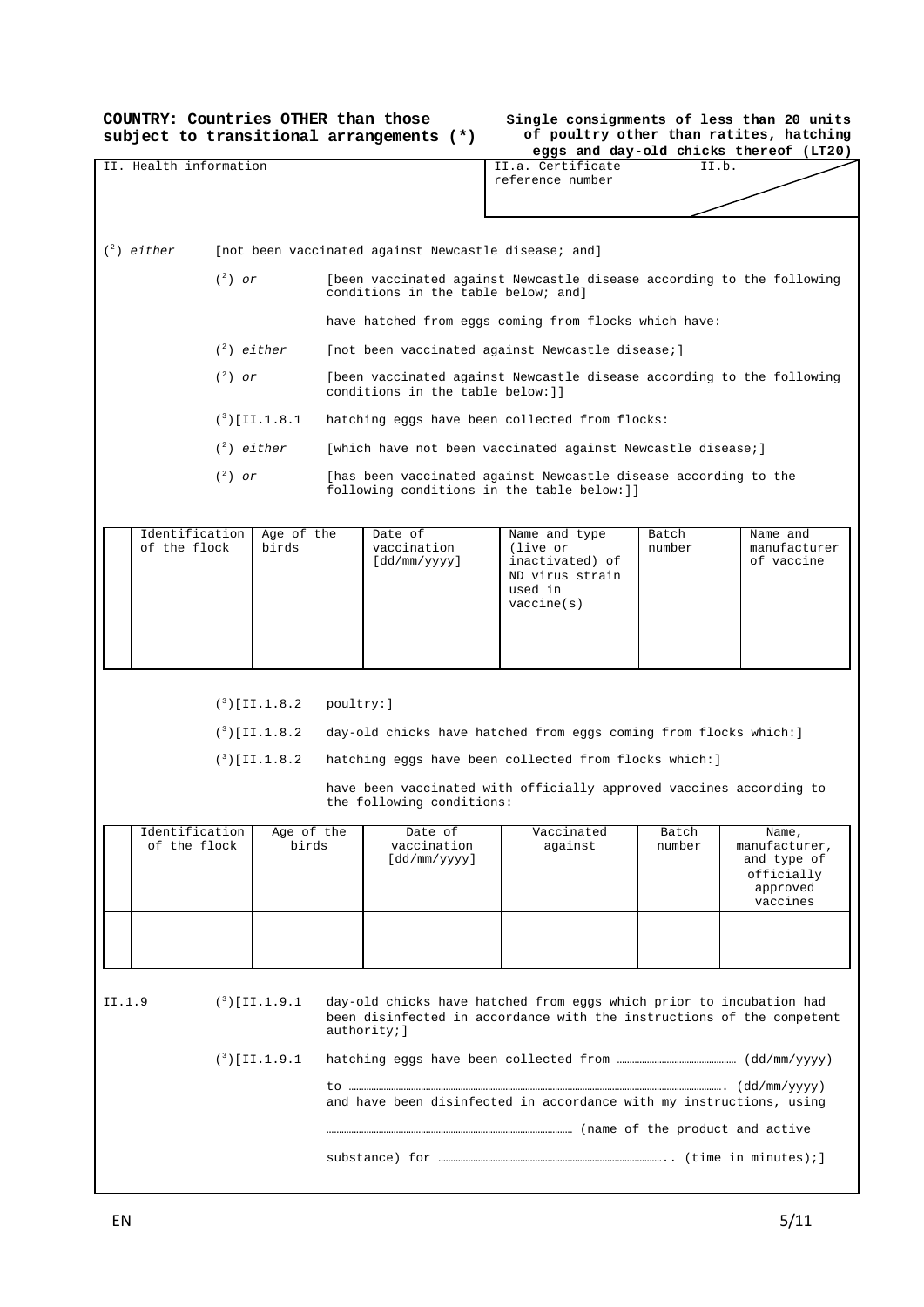**COUNTRY: Countries OTHER than those subject to transitional arrangements (\*)**

| Single consignments of less than 20 units |  |
|-------------------------------------------|--|
| of poultry other than ratites, hatching   |  |
| eggs and day-old chicks thereof (LT20)    |  |

|                  |                        |           |                      |                                                                                                            |                                                      |                                                                                                                                              |        | eggs and day-old chicks thereof (LT20)                             |  |
|------------------|------------------------|-----------|----------------------|------------------------------------------------------------------------------------------------------------|------------------------------------------------------|----------------------------------------------------------------------------------------------------------------------------------------------|--------|--------------------------------------------------------------------|--|
|                  | II. Health information |           |                      |                                                                                                            |                                                      | II.a. Certificate<br>reference number                                                                                                        |        | II.b.                                                              |  |
|                  |                        |           |                      |                                                                                                            |                                                      |                                                                                                                                              |        |                                                                    |  |
|                  |                        |           |                      |                                                                                                            |                                                      |                                                                                                                                              |        |                                                                    |  |
|                  | $(^2)$ either          |           |                      |                                                                                                            | [not been vaccinated against Newcastle disease; and] |                                                                                                                                              |        |                                                                    |  |
|                  |                        | $(^2)$ or |                      |                                                                                                            | conditions in the table below; and]                  | [been vaccinated against Newcastle disease according to the following                                                                        |        |                                                                    |  |
|                  |                        |           |                      | have hatched from eggs coming from flocks which have:                                                      |                                                      |                                                                                                                                              |        |                                                                    |  |
|                  |                        |           | $(2)$ either         | [not been vaccinated against Newcastle disease;]                                                           |                                                      |                                                                                                                                              |        |                                                                    |  |
|                  |                        | $(^2)$ or |                      | [been vaccinated against Newcastle disease according to the following<br>conditions in the table below: ]] |                                                      |                                                                                                                                              |        |                                                                    |  |
|                  |                        |           | $(3)$ [II.1.8.1]     |                                                                                                            |                                                      | hatching eggs have been collected from flocks:                                                                                               |        |                                                                    |  |
|                  |                        |           | $(^2)$ either        |                                                                                                            |                                                      | [which have not been vaccinated against Newcastle disease;]                                                                                  |        |                                                                    |  |
|                  |                        | $(^2)$ or |                      |                                                                                                            |                                                      | [has been vaccinated against Newcastle disease according to the<br>following conditions in the table below: ] ]                              |        |                                                                    |  |
|                  | Identification         |           | Age of the           |                                                                                                            | Date of                                              | Name and type                                                                                                                                | Batch  | Name and                                                           |  |
|                  | of the flock           |           | birds                |                                                                                                            | vaccination<br>[dd/mm/yyyy]                          | (live or<br>inactivated) of<br>ND virus strain<br>used in<br>vaccine(s)                                                                      | number | manufacturer<br>of vaccine                                         |  |
|                  |                        |           |                      |                                                                                                            |                                                      |                                                                                                                                              |        |                                                                    |  |
|                  |                        |           |                      |                                                                                                            |                                                      |                                                                                                                                              |        |                                                                    |  |
|                  |                        |           |                      |                                                                                                            |                                                      |                                                                                                                                              |        |                                                                    |  |
|                  |                        |           |                      |                                                                                                            |                                                      |                                                                                                                                              |        |                                                                    |  |
|                  |                        |           | $({}^{3})$ [II.1.8.2 | poultry: ]                                                                                                 |                                                      |                                                                                                                                              |        |                                                                    |  |
|                  |                        |           | $(3)$ [II.1.8.2      |                                                                                                            |                                                      | day-old chicks have hatched from eggs coming from flocks which: ]                                                                            |        |                                                                    |  |
|                  |                        |           | $(3)$ [II.1.8.2]     |                                                                                                            |                                                      | hatching eggs have been collected from flocks which: ]                                                                                       |        |                                                                    |  |
|                  |                        |           |                      |                                                                                                            |                                                      |                                                                                                                                              |        |                                                                    |  |
|                  |                        |           |                      |                                                                                                            | the following conditions:                            | have been vaccinated with officially approved vaccines according to                                                                          |        |                                                                    |  |
|                  | Identification         |           | Age of the           |                                                                                                            | Date of                                              | Vaccinated                                                                                                                                   | Batch  | Name,                                                              |  |
|                  | of the flock           |           | birds                |                                                                                                            | vaccination<br>[dd/mm/yyyy]                          | against                                                                                                                                      | number | manufacturer,<br>and type of<br>officially<br>approved<br>vaccines |  |
|                  |                        |           |                      |                                                                                                            |                                                      |                                                                                                                                              |        |                                                                    |  |
|                  |                        |           |                      |                                                                                                            |                                                      |                                                                                                                                              |        |                                                                    |  |
|                  |                        |           |                      |                                                                                                            |                                                      |                                                                                                                                              |        |                                                                    |  |
| II.1.9           |                        |           | $(3)$ [II.1.9.1      |                                                                                                            | authority; ]                                         | day-old chicks have hatched from eggs which prior to incubation had<br>been disinfected in accordance with the instructions of the competent |        |                                                                    |  |
| $(3)$ [II.1.9.1] |                        |           |                      |                                                                                                            |                                                      |                                                                                                                                              |        |                                                                    |  |
|                  |                        |           |                      |                                                                                                            |                                                      | and have been disinfected in accordance with my instructions, using                                                                          |        |                                                                    |  |
|                  |                        |           |                      |                                                                                                            |                                                      |                                                                                                                                              |        |                                                                    |  |
|                  |                        |           |                      |                                                                                                            |                                                      |                                                                                                                                              |        |                                                                    |  |
|                  |                        |           |                      |                                                                                                            |                                                      |                                                                                                                                              |        |                                                                    |  |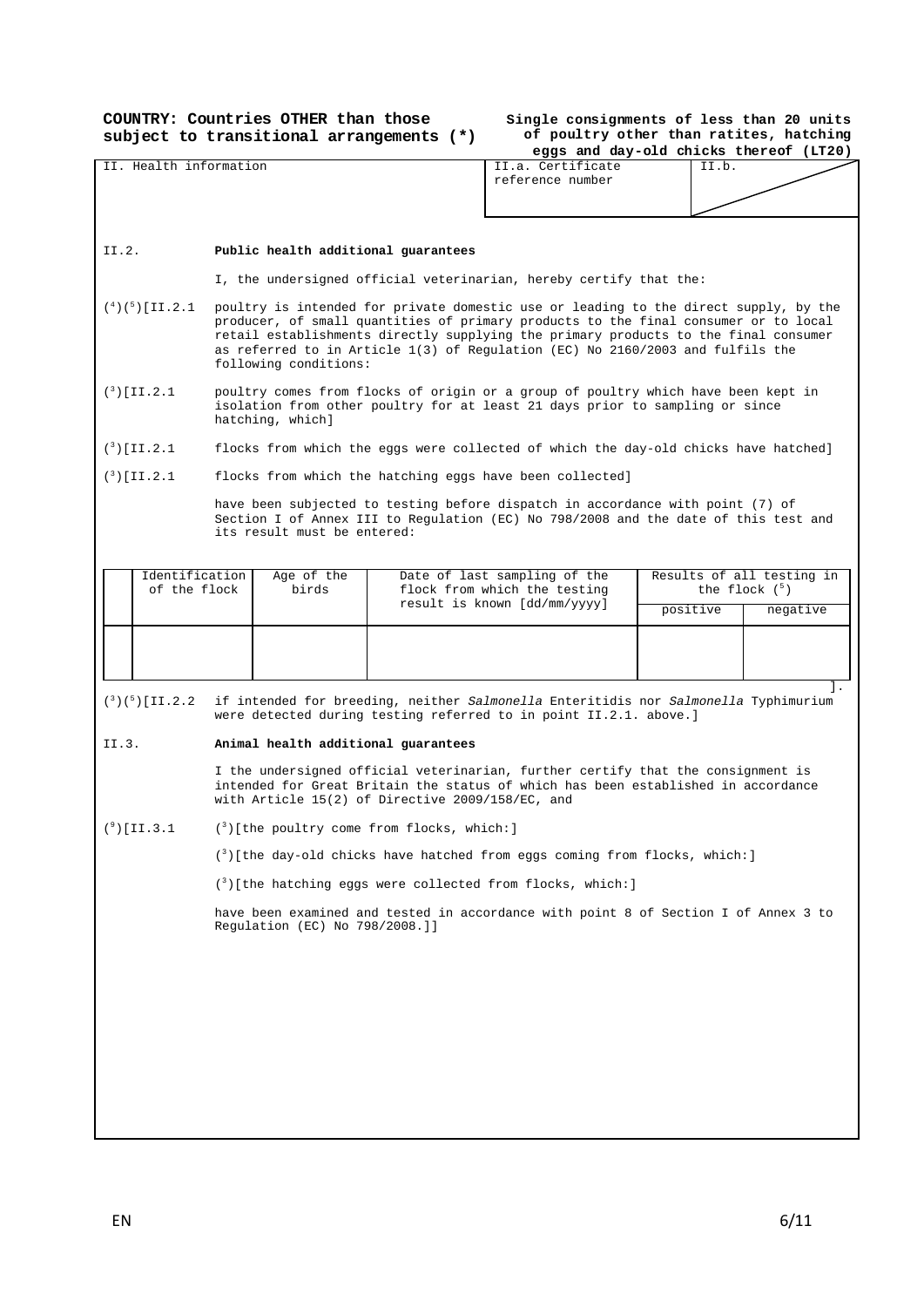**COUNTRY: Countries OTHER than those subject to transitional arrangements (\*)**

### **Single consignments of less than 20 units of poultry other than ratites, hatching**

|                                      |                                                                                                                                                                                                                                                                                                                                                                               |                                                                                                                                                                                       |                                       |                                                                                                                                                                       | eggs and day-old chicks thereof (LT20) |                                          |  |
|--------------------------------------|-------------------------------------------------------------------------------------------------------------------------------------------------------------------------------------------------------------------------------------------------------------------------------------------------------------------------------------------------------------------------------|---------------------------------------------------------------------------------------------------------------------------------------------------------------------------------------|---------------------------------------|-----------------------------------------------------------------------------------------------------------------------------------------------------------------------|----------------------------------------|------------------------------------------|--|
| II. Health information               |                                                                                                                                                                                                                                                                                                                                                                               |                                                                                                                                                                                       | II.a. Certificate<br>reference number |                                                                                                                                                                       | II.b.                                  |                                          |  |
|                                      |                                                                                                                                                                                                                                                                                                                                                                               |                                                                                                                                                                                       |                                       |                                                                                                                                                                       |                                        |                                          |  |
| II.2.                                |                                                                                                                                                                                                                                                                                                                                                                               | Public health additional guarantees                                                                                                                                                   |                                       |                                                                                                                                                                       |                                        |                                          |  |
|                                      |                                                                                                                                                                                                                                                                                                                                                                               |                                                                                                                                                                                       |                                       | I, the undersigned official veterinarian, hereby certify that the:                                                                                                    |                                        |                                          |  |
| $({}^{4})({}^{5})$ [II.2.1]          | poultry is intended for private domestic use or leading to the direct supply, by the<br>producer, of small quantities of primary products to the final consumer or to local<br>retail establishments directly supplying the primary products to the final consumer<br>as referred to in Article 1(3) of Regulation (EC) No 2160/2003 and fulfils the<br>following conditions: |                                                                                                                                                                                       |                                       |                                                                                                                                                                       |                                        |                                          |  |
| $(^{3})$ [II.2.1                     |                                                                                                                                                                                                                                                                                                                                                                               | poultry comes from flocks of origin or a group of poultry which have been kept in<br>isolation from other poultry for at least 21 days prior to sampling or since<br>hatching, which] |                                       |                                                                                                                                                                       |                                        |                                          |  |
| $(^{3})$ [II.2.1                     |                                                                                                                                                                                                                                                                                                                                                                               |                                                                                                                                                                                       |                                       | flocks from which the eggs were collected of which the day-old chicks have hatched]                                                                                   |                                        |                                          |  |
| $(^{3})$ [II.2.1                     |                                                                                                                                                                                                                                                                                                                                                                               |                                                                                                                                                                                       |                                       | flocks from which the hatching eggs have been collected]                                                                                                              |                                        |                                          |  |
|                                      |                                                                                                                                                                                                                                                                                                                                                                               | its result must be entered:                                                                                                                                                           |                                       | have been subjected to testing before dispatch in accordance with point (7) of<br>Section I of Annex III to Regulation (EC) No 798/2008 and the date of this test and |                                        |                                          |  |
| Identification                       |                                                                                                                                                                                                                                                                                                                                                                               | Age of the                                                                                                                                                                            |                                       | Date of last sampling of the                                                                                                                                          |                                        | Results of all testing in                |  |
| of the flock                         |                                                                                                                                                                                                                                                                                                                                                                               | birds                                                                                                                                                                                 |                                       | flock from which the testing<br>result is known [dd/mm/yyyy]                                                                                                          |                                        | the flock $(^5)$<br>positive<br>negative |  |
|                                      |                                                                                                                                                                                                                                                                                                                                                                               |                                                                                                                                                                                       |                                       |                                                                                                                                                                       |                                        |                                          |  |
|                                      |                                                                                                                                                                                                                                                                                                                                                                               |                                                                                                                                                                                       |                                       |                                                                                                                                                                       |                                        |                                          |  |
| $({}^{3})({}^{5})$ [II.2.2]<br>II.3. | if intended for breeding, neither Salmonella Enteritidis nor Salmonella Typhimurium<br>were detected during testing referred to in point II.2.1. above.]<br>Animal health additional guarantees                                                                                                                                                                               |                                                                                                                                                                                       |                                       |                                                                                                                                                                       |                                        |                                          |  |
|                                      |                                                                                                                                                                                                                                                                                                                                                                               |                                                                                                                                                                                       |                                       |                                                                                                                                                                       |                                        |                                          |  |
|                                      | I the undersigned official veterinarian, further certify that the consignment is<br>intended for Great Britain the status of which has been established in accordance<br>with Article 15(2) of Directive 2009/158/EC, and                                                                                                                                                     |                                                                                                                                                                                       |                                       |                                                                                                                                                                       |                                        |                                          |  |
| $(°)$ [II.3.1                        | $(3)$ [the poultry come from flocks, which:]                                                                                                                                                                                                                                                                                                                                  |                                                                                                                                                                                       |                                       |                                                                                                                                                                       |                                        |                                          |  |
|                                      | $(3)$ [the day-old chicks have hatched from eggs coming from flocks, which: ]                                                                                                                                                                                                                                                                                                 |                                                                                                                                                                                       |                                       |                                                                                                                                                                       |                                        |                                          |  |
|                                      | (3) [the hatching eggs were collected from flocks, which: ]                                                                                                                                                                                                                                                                                                                   |                                                                                                                                                                                       |                                       |                                                                                                                                                                       |                                        |                                          |  |
|                                      | have been examined and tested in accordance with point 8 of Section I of Annex 3 to<br>Regulation (EC) No 798/2008.]]                                                                                                                                                                                                                                                         |                                                                                                                                                                                       |                                       |                                                                                                                                                                       |                                        |                                          |  |
|                                      |                                                                                                                                                                                                                                                                                                                                                                               |                                                                                                                                                                                       |                                       |                                                                                                                                                                       |                                        |                                          |  |
|                                      |                                                                                                                                                                                                                                                                                                                                                                               |                                                                                                                                                                                       |                                       |                                                                                                                                                                       |                                        |                                          |  |
|                                      |                                                                                                                                                                                                                                                                                                                                                                               |                                                                                                                                                                                       |                                       |                                                                                                                                                                       |                                        |                                          |  |
|                                      |                                                                                                                                                                                                                                                                                                                                                                               |                                                                                                                                                                                       |                                       |                                                                                                                                                                       |                                        |                                          |  |
|                                      |                                                                                                                                                                                                                                                                                                                                                                               |                                                                                                                                                                                       |                                       |                                                                                                                                                                       |                                        |                                          |  |
|                                      |                                                                                                                                                                                                                                                                                                                                                                               |                                                                                                                                                                                       |                                       |                                                                                                                                                                       |                                        |                                          |  |
|                                      |                                                                                                                                                                                                                                                                                                                                                                               |                                                                                                                                                                                       |                                       |                                                                                                                                                                       |                                        |                                          |  |
|                                      |                                                                                                                                                                                                                                                                                                                                                                               |                                                                                                                                                                                       |                                       |                                                                                                                                                                       |                                        |                                          |  |
|                                      |                                                                                                                                                                                                                                                                                                                                                                               |                                                                                                                                                                                       |                                       |                                                                                                                                                                       |                                        |                                          |  |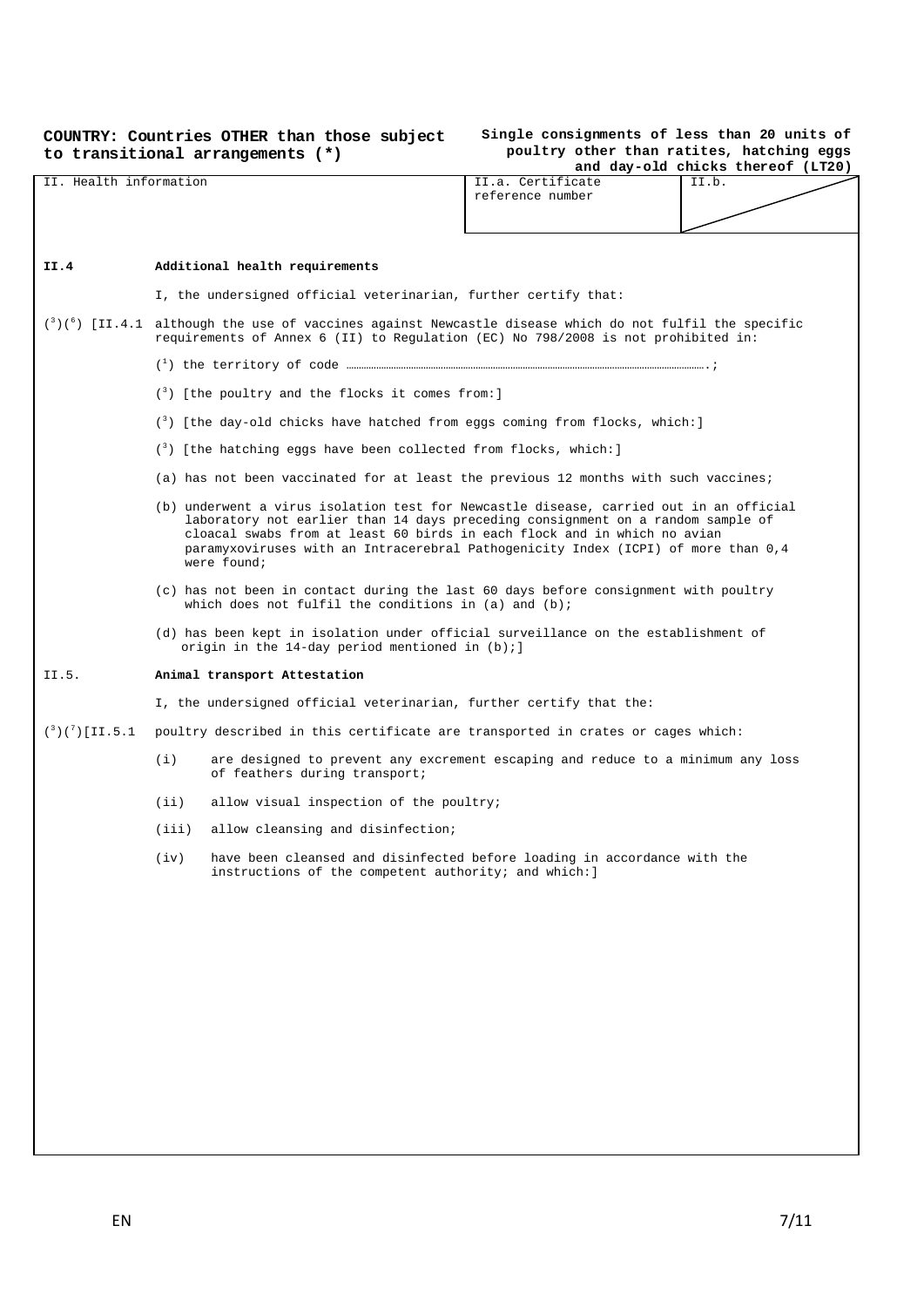#### **COUNTRY: Countries OTHER than those subject to transitional arrangements (\*)**

# **Single consignments of less than 20 units of poultry other than ratites, hatching eggs**

|                            |                                                                                                                                                                                                                                                                                                                                                           |                                                                                                                                                  |                                                                                                                                                                                                     | and day-old chicks thereof (LT20) |  |  |
|----------------------------|-----------------------------------------------------------------------------------------------------------------------------------------------------------------------------------------------------------------------------------------------------------------------------------------------------------------------------------------------------------|--------------------------------------------------------------------------------------------------------------------------------------------------|-----------------------------------------------------------------------------------------------------------------------------------------------------------------------------------------------------|-----------------------------------|--|--|
| II. Health information     |                                                                                                                                                                                                                                                                                                                                                           |                                                                                                                                                  | II.a. Certificate<br>reference number                                                                                                                                                               | II.b.                             |  |  |
|                            |                                                                                                                                                                                                                                                                                                                                                           |                                                                                                                                                  |                                                                                                                                                                                                     |                                   |  |  |
|                            |                                                                                                                                                                                                                                                                                                                                                           |                                                                                                                                                  |                                                                                                                                                                                                     |                                   |  |  |
| II.4                       |                                                                                                                                                                                                                                                                                                                                                           | Additional health requirements                                                                                                                   |                                                                                                                                                                                                     |                                   |  |  |
|                            |                                                                                                                                                                                                                                                                                                                                                           | I, the undersigned official veterinarian, further certify that:                                                                                  |                                                                                                                                                                                                     |                                   |  |  |
|                            |                                                                                                                                                                                                                                                                                                                                                           |                                                                                                                                                  | $\binom{3}{6}$ [II.4.1 although the use of vaccines against Newcastle disease which do not fulfil the specific<br>requirements of Annex 6 (II) to Regulation (EC) No 798/2008 is not prohibited in: |                                   |  |  |
|                            |                                                                                                                                                                                                                                                                                                                                                           |                                                                                                                                                  |                                                                                                                                                                                                     |                                   |  |  |
|                            |                                                                                                                                                                                                                                                                                                                                                           | $\binom{3}{2}$ [the poultry and the flocks it comes from:]                                                                                       |                                                                                                                                                                                                     |                                   |  |  |
|                            |                                                                                                                                                                                                                                                                                                                                                           | (3) [the day-old chicks have hatched from eggs coming from flocks, which:]                                                                       |                                                                                                                                                                                                     |                                   |  |  |
|                            |                                                                                                                                                                                                                                                                                                                                                           | $(3)$ [the hatching eggs have been collected from flocks, which: ]                                                                               |                                                                                                                                                                                                     |                                   |  |  |
|                            |                                                                                                                                                                                                                                                                                                                                                           | (a) has not been vaccinated for at least the previous 12 months with such vaccines;                                                              |                                                                                                                                                                                                     |                                   |  |  |
|                            | (b) underwent a virus isolation test for Newcastle disease, carried out in an official<br>laboratory not earlier than 14 days preceding consignment on a random sample of<br>cloacal swabs from at least 60 birds in each flock and in which no avian<br>paramyxoviruses with an Intracerebral Pathogenicity Index (ICPI) of more than 0,4<br>were found; |                                                                                                                                                  |                                                                                                                                                                                                     |                                   |  |  |
|                            |                                                                                                                                                                                                                                                                                                                                                           | (c) has not been in contact during the last 60 days before consignment with poultry<br>which does not fulfil the conditions in $(a)$ and $(b)$ ; |                                                                                                                                                                                                     |                                   |  |  |
|                            |                                                                                                                                                                                                                                                                                                                                                           | (d) has been kept in isolation under official surveillance on the establishment of<br>origin in the 14-day period mentioned in $(b)$ ; ]         |                                                                                                                                                                                                     |                                   |  |  |
| II.5.                      | Animal transport Attestation                                                                                                                                                                                                                                                                                                                              |                                                                                                                                                  |                                                                                                                                                                                                     |                                   |  |  |
|                            |                                                                                                                                                                                                                                                                                                                                                           | I, the undersigned official veterinarian, further certify that the:                                                                              |                                                                                                                                                                                                     |                                   |  |  |
| $({}^{3})({}^{7})$ [II.5.1 |                                                                                                                                                                                                                                                                                                                                                           | poultry described in this certificate are transported in crates or cages which:                                                                  |                                                                                                                                                                                                     |                                   |  |  |
|                            | (i)                                                                                                                                                                                                                                                                                                                                                       | are designed to prevent any excrement escaping and reduce to a minimum any loss<br>of feathers during transport;                                 |                                                                                                                                                                                                     |                                   |  |  |
|                            | (iii)                                                                                                                                                                                                                                                                                                                                                     | allow visual inspection of the poultry;                                                                                                          |                                                                                                                                                                                                     |                                   |  |  |
|                            |                                                                                                                                                                                                                                                                                                                                                           | (iii) allow cleansing and disinfection;                                                                                                          |                                                                                                                                                                                                     |                                   |  |  |
|                            |                                                                                                                                                                                                                                                                                                                                                           | (iv) have been cleansed and disinfected before loading in accordance with the<br>instructions of the competent authority; and which: ]           |                                                                                                                                                                                                     |                                   |  |  |
|                            |                                                                                                                                                                                                                                                                                                                                                           |                                                                                                                                                  |                                                                                                                                                                                                     |                                   |  |  |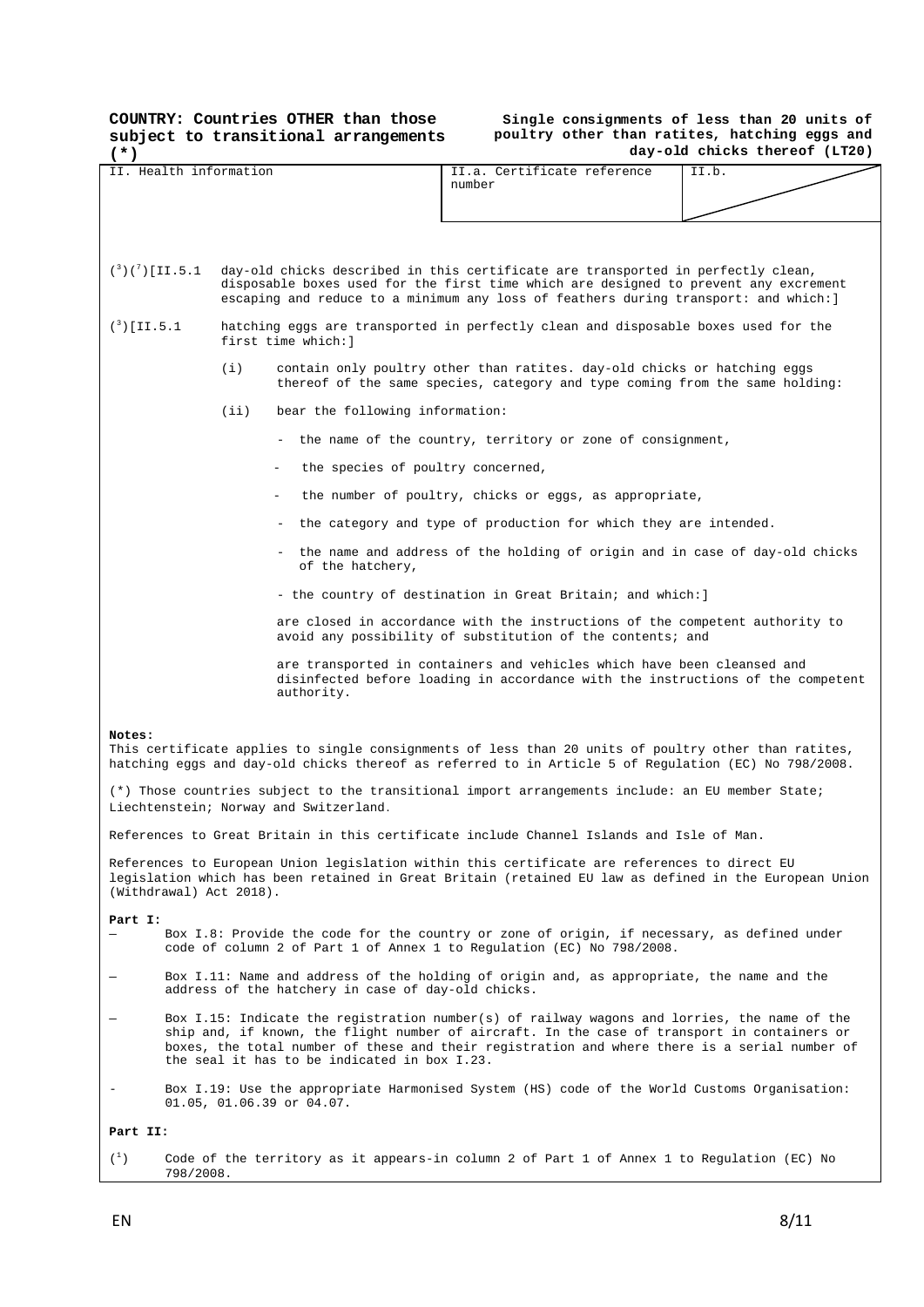|                                                                                                                                                                                                                                                                                                |                                                                                                                                                                                                                                                                                                                                               |       | COUNTRY: Countries OTHER than those<br>subject to transitional arrangements |                                                                                                                                                                                                              | Single consignments of less than 20 units of<br>poultry other than ratites, hatching eggs and<br>day-old chicks thereof (LT20) |  |  |
|------------------------------------------------------------------------------------------------------------------------------------------------------------------------------------------------------------------------------------------------------------------------------------------------|-----------------------------------------------------------------------------------------------------------------------------------------------------------------------------------------------------------------------------------------------------------------------------------------------------------------------------------------------|-------|-----------------------------------------------------------------------------|--------------------------------------------------------------------------------------------------------------------------------------------------------------------------------------------------------------|--------------------------------------------------------------------------------------------------------------------------------|--|--|
| $(*)$<br>II. Health information                                                                                                                                                                                                                                                                |                                                                                                                                                                                                                                                                                                                                               |       |                                                                             | II.a. Certificate reference<br>number                                                                                                                                                                        | II.b.                                                                                                                          |  |  |
| $({}^{3})({}^{7})$ [II.5.1<br>day-old chicks described in this certificate are transported in perfectly clean,<br>disposable boxes used for the first time which are designed to prevent any excrement<br>escaping and reduce to a minimum any loss of feathers during transport: and which: ] |                                                                                                                                                                                                                                                                                                                                               |       |                                                                             |                                                                                                                                                                                                              |                                                                                                                                |  |  |
|                                                                                                                                                                                                                                                                                                | $(^{3})$ [II.5.1<br>hatching eggs are transported in perfectly clean and disposable boxes used for the<br>first time which: ]                                                                                                                                                                                                                 |       |                                                                             |                                                                                                                                                                                                              |                                                                                                                                |  |  |
|                                                                                                                                                                                                                                                                                                |                                                                                                                                                                                                                                                                                                                                               | (i)   |                                                                             | contain only poultry other than ratites. day-old chicks or hatching eggs<br>thereof of the same species, category and type coming from the same holding:                                                     |                                                                                                                                |  |  |
|                                                                                                                                                                                                                                                                                                |                                                                                                                                                                                                                                                                                                                                               | (iii) | bear the following information:                                             |                                                                                                                                                                                                              |                                                                                                                                |  |  |
|                                                                                                                                                                                                                                                                                                |                                                                                                                                                                                                                                                                                                                                               |       |                                                                             | the name of the country, territory or zone of consignment,                                                                                                                                                   |                                                                                                                                |  |  |
|                                                                                                                                                                                                                                                                                                |                                                                                                                                                                                                                                                                                                                                               |       | the species of poultry concerned,                                           |                                                                                                                                                                                                              |                                                                                                                                |  |  |
|                                                                                                                                                                                                                                                                                                |                                                                                                                                                                                                                                                                                                                                               |       |                                                                             | the number of poultry, chicks or eggs, as appropriate,                                                                                                                                                       |                                                                                                                                |  |  |
|                                                                                                                                                                                                                                                                                                |                                                                                                                                                                                                                                                                                                                                               |       |                                                                             | - the category and type of production for which they are intended.                                                                                                                                           |                                                                                                                                |  |  |
|                                                                                                                                                                                                                                                                                                |                                                                                                                                                                                                                                                                                                                                               |       | of the hatchery,                                                            | - the name and address of the holding of origin and in case of day-old chicks                                                                                                                                |                                                                                                                                |  |  |
|                                                                                                                                                                                                                                                                                                |                                                                                                                                                                                                                                                                                                                                               |       |                                                                             | - the country of destination in Great Britain; and which: ]                                                                                                                                                  |                                                                                                                                |  |  |
|                                                                                                                                                                                                                                                                                                |                                                                                                                                                                                                                                                                                                                                               |       |                                                                             | are closed in accordance with the instructions of the competent authority to<br>avoid any possibility of substitution of the contents; and                                                                   |                                                                                                                                |  |  |
|                                                                                                                                                                                                                                                                                                | are transported in containers and vehicles which have been cleansed and<br>disinfected before loading in accordance with the instructions of the competent<br>authority.                                                                                                                                                                      |       |                                                                             |                                                                                                                                                                                                              |                                                                                                                                |  |  |
| Notes:                                                                                                                                                                                                                                                                                         |                                                                                                                                                                                                                                                                                                                                               |       |                                                                             | This certificate applies to single consignments of less than 20 units of poultry other than ratites,<br>hatching eggs and day-old chicks thereof as referred to in Article 5 of Regulation (EC) No 798/2008. |                                                                                                                                |  |  |
|                                                                                                                                                                                                                                                                                                |                                                                                                                                                                                                                                                                                                                                               |       | Liechtenstein; Norway and Switzerland.                                      | (*) Those countries subject to the transitional import arrangements include: an EU member State;                                                                                                             |                                                                                                                                |  |  |
|                                                                                                                                                                                                                                                                                                |                                                                                                                                                                                                                                                                                                                                               |       |                                                                             | References to Great Britain in this certificate include Channel Islands and Isle of Man.                                                                                                                     |                                                                                                                                |  |  |
|                                                                                                                                                                                                                                                                                                | (Withdrawal) Act 2018).                                                                                                                                                                                                                                                                                                                       |       |                                                                             | References to European Union legislation within this certificate are references to direct EU<br>legislation which has been retained in Great Britain (retained EU law as defined in the European Union       |                                                                                                                                |  |  |
| Part I:                                                                                                                                                                                                                                                                                        |                                                                                                                                                                                                                                                                                                                                               |       |                                                                             | Box I.8: Provide the code for the country or zone of origin, if necessary, as defined under<br>code of column 2 of Part 1 of Annex 1 to Regulation (EC) No 798/2008.                                         |                                                                                                                                |  |  |
|                                                                                                                                                                                                                                                                                                | Box I.11: Name and address of the holding of origin and, as appropriate, the name and the<br>address of the hatchery in case of day-old chicks.                                                                                                                                                                                               |       |                                                                             |                                                                                                                                                                                                              |                                                                                                                                |  |  |
|                                                                                                                                                                                                                                                                                                | Box I.15: Indicate the registration number(s) of railway wagons and lorries, the name of the<br>ship and, if known, the flight number of aircraft. In the case of transport in containers or<br>boxes, the total number of these and their registration and where there is a serial number of<br>the seal it has to be indicated in box I.23. |       |                                                                             |                                                                                                                                                                                                              |                                                                                                                                |  |  |
|                                                                                                                                                                                                                                                                                                |                                                                                                                                                                                                                                                                                                                                               |       | $01.05, 01.06.39$ or $04.07.$                                               | Box I.19: Use the appropriate Harmonised System (HS) code of the World Customs Organisation:                                                                                                                 |                                                                                                                                |  |  |
| Part II:                                                                                                                                                                                                                                                                                       |                                                                                                                                                                                                                                                                                                                                               |       |                                                                             |                                                                                                                                                                                                              |                                                                                                                                |  |  |
| $\binom{1}{1}$                                                                                                                                                                                                                                                                                 | 798/2008                                                                                                                                                                                                                                                                                                                                      |       |                                                                             | Code of the territory as it appears-in column 2 of Part 1 of Annex 1 to Regulation (EC) No                                                                                                                   |                                                                                                                                |  |  |

 $(1)$  Code of the territory as it appears-in column 2 of Part 1 of Annex 1 to Regulation (EC) No 798/2008.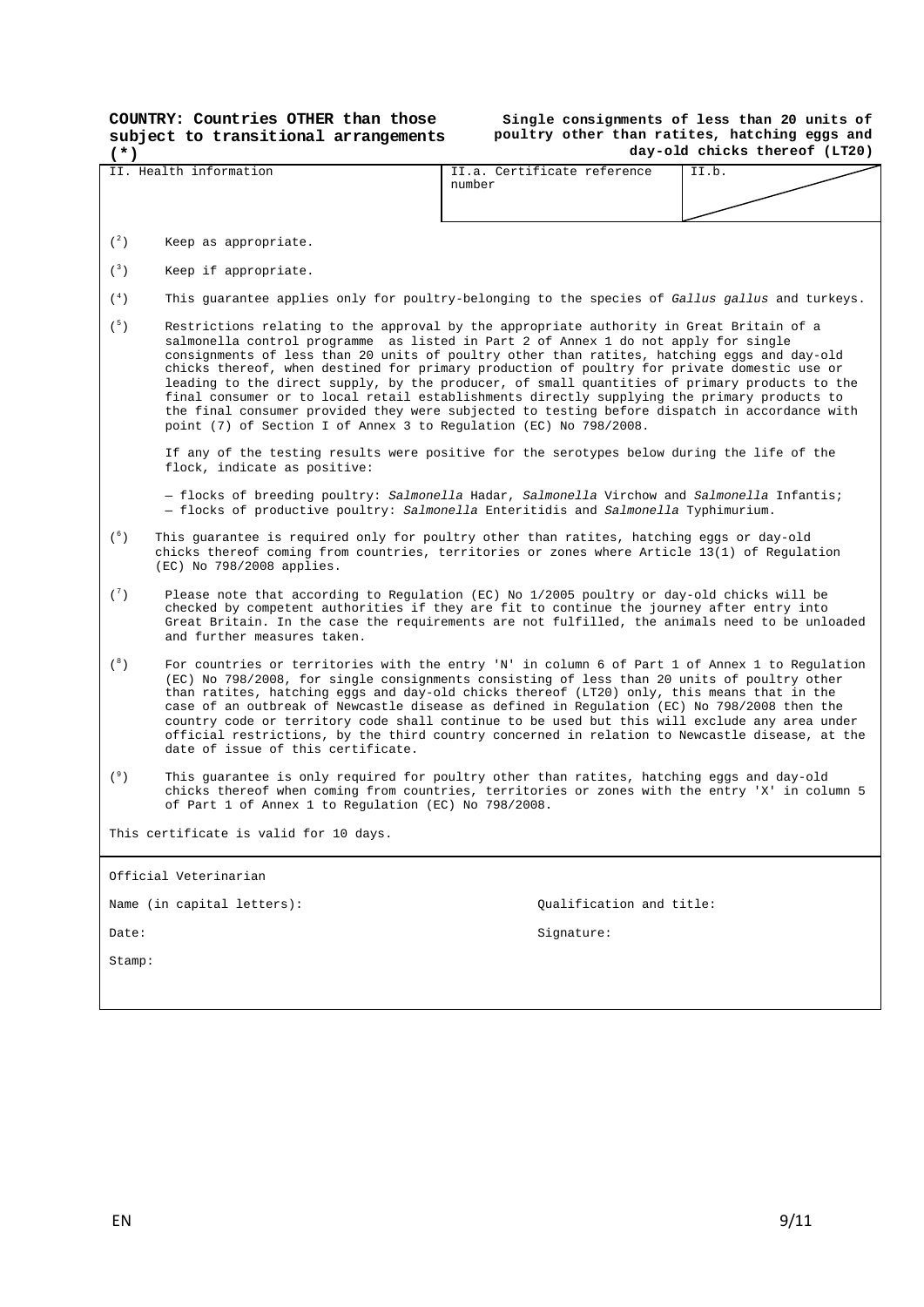**COUNTRY: Countries OTHER than those subject to transitional arrangements** 

#### **Single consignments of less than 20 units of poultry other than ratites, hatching eggs and day-old chicks thereof (LT20)**

| (*)            |                                                                                                                                                                                                                                                                                                                                                                                                                                                                                                                                                                                                                                                                                                                                                     |                                       | аау-оца спіскв тлегеог (штио) |  |  |  |  |  |  |
|----------------|-----------------------------------------------------------------------------------------------------------------------------------------------------------------------------------------------------------------------------------------------------------------------------------------------------------------------------------------------------------------------------------------------------------------------------------------------------------------------------------------------------------------------------------------------------------------------------------------------------------------------------------------------------------------------------------------------------------------------------------------------------|---------------------------------------|-------------------------------|--|--|--|--|--|--|
|                | II. Health information                                                                                                                                                                                                                                                                                                                                                                                                                                                                                                                                                                                                                                                                                                                              | II.a. Certificate reference<br>number | II.b.                         |  |  |  |  |  |  |
| $\binom{2}{ }$ | Keep as appropriate.                                                                                                                                                                                                                                                                                                                                                                                                                                                                                                                                                                                                                                                                                                                                |                                       |                               |  |  |  |  |  |  |
| $\binom{3}{ }$ | Keep if appropriate.                                                                                                                                                                                                                                                                                                                                                                                                                                                                                                                                                                                                                                                                                                                                |                                       |                               |  |  |  |  |  |  |
| $({}^4)$       | This quarantee applies only for poultry-belonging to the species of Gallus gallus and turkeys.                                                                                                                                                                                                                                                                                                                                                                                                                                                                                                                                                                                                                                                      |                                       |                               |  |  |  |  |  |  |
| (5)            | Restrictions relating to the approval by the appropriate authority in Great Britain of a<br>salmonella control programme as listed in Part 2 of Annex 1 do not apply for single<br>consignments of less than 20 units of poultry other than ratites, hatching eggs and day-old<br>chicks thereof, when destined for primary production of poultry for private domestic use or<br>leading to the direct supply, by the producer, of small quantities of primary products to the<br>final consumer or to local retail establishments directly supplying the primary products to<br>the final consumer provided they were subjected to testing before dispatch in accordance with<br>point (7) of Section I of Annex 3 to Regulation (EC) No 798/2008. |                                       |                               |  |  |  |  |  |  |
|                | If any of the testing results were positive for the serotypes below during the life of the<br>flock, indicate as positive:                                                                                                                                                                                                                                                                                                                                                                                                                                                                                                                                                                                                                          |                                       |                               |  |  |  |  |  |  |
|                | - flocks of breeding poultry: Salmonella Hadar, Salmonella Virchow and Salmonella Infantis;<br>- flocks of productive poultry: Salmonella Enteritidis and Salmonella Typhimurium.                                                                                                                                                                                                                                                                                                                                                                                                                                                                                                                                                                   |                                       |                               |  |  |  |  |  |  |
| (6)            | This guarantee is required only for poultry other than ratites, hatching eggs or day-old<br>chicks thereof coming from countries, territories or zones where Article 13(1) of Regulation<br>(EC) No 798/2008 applies.                                                                                                                                                                                                                                                                                                                                                                                                                                                                                                                               |                                       |                               |  |  |  |  |  |  |
| $\binom{7}{ }$ | Please note that according to Regulation (EC) No 1/2005 poultry or day-old chicks will be<br>checked by competent authorities if they are fit to continue the journey after entry into<br>Great Britain. In the case the requirements are not fulfilled, the animals need to be unloaded<br>and further measures taken.                                                                                                                                                                                                                                                                                                                                                                                                                             |                                       |                               |  |  |  |  |  |  |
| $(^{8})$       | For countries or territories with the entry 'N' in column 6 of Part 1 of Annex 1 to Regulation<br>(EC) No 798/2008, for single consignments consisting of less than 20 units of poultry other<br>than ratites, hatching eggs and day-old chicks thereof (LT20) only, this means that in the<br>case of an outbreak of Newcastle disease as defined in Regulation (EC) No 798/2008 then the<br>country code or territory code shall continue to be used but this will exclude any area under<br>official restrictions, by the third country concerned in relation to Newcastle disease, at the<br>date of issue of this certificate.                                                                                                                 |                                       |                               |  |  |  |  |  |  |
| (°)            | This guarantee is only required for poultry other than ratites, hatching eggs and day-old<br>chicks thereof when coming from countries, territories or zones with the entry 'X' in column 5<br>of Part 1 of Annex 1 to Regulation (EC) No 798/2008.                                                                                                                                                                                                                                                                                                                                                                                                                                                                                                 |                                       |                               |  |  |  |  |  |  |
|                | This certificate is valid for 10 days.                                                                                                                                                                                                                                                                                                                                                                                                                                                                                                                                                                                                                                                                                                              |                                       |                               |  |  |  |  |  |  |
|                | Official Veterinarian                                                                                                                                                                                                                                                                                                                                                                                                                                                                                                                                                                                                                                                                                                                               |                                       |                               |  |  |  |  |  |  |
|                | Name (in capital letters):                                                                                                                                                                                                                                                                                                                                                                                                                                                                                                                                                                                                                                                                                                                          | Qualification and title:              |                               |  |  |  |  |  |  |
| Date:          |                                                                                                                                                                                                                                                                                                                                                                                                                                                                                                                                                                                                                                                                                                                                                     | Signature:                            |                               |  |  |  |  |  |  |
| Stamp:         |                                                                                                                                                                                                                                                                                                                                                                                                                                                                                                                                                                                                                                                                                                                                                     |                                       |                               |  |  |  |  |  |  |